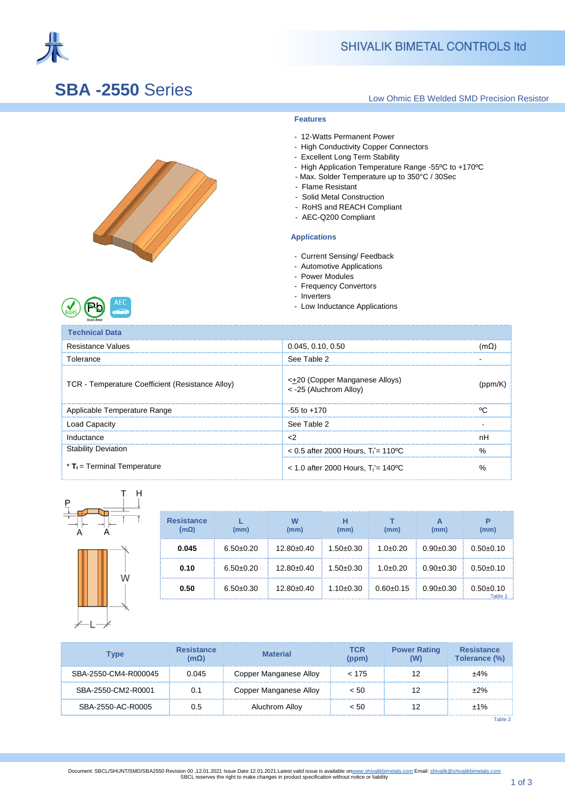

# **SBA -2550** Series

### Low Ohmic EB Welded SMD Precision Resistor

### **Features**

- 12-Watts Permanent Power
- High Conductivity Copper Connectors
- Excellent Long Term Stability
- High Application Temperature Range -55ºC to +170ºC
- Max. Solder Temperature up to 350°C / 30Sec
- Flame Resistant
- Solid Metal Construction
- RoHS and REACH Compliant
- AEC-Q200 Compliant

#### ] **Applications**

- Current Sensing/ Feedback
- Automotive Applications
- Power Modules
- Frequency Convertors
- Inverters
- Low Inductance Applications

| lead-free                                        |                                                           |         |
|--------------------------------------------------|-----------------------------------------------------------|---------|
| <b>Technical Data</b>                            |                                                           |         |
| Resistance Values                                | 0.045, 0.10, 0.50                                         | (mΩ     |
| Tolerance                                        | See Table 2                                               |         |
| TCR - Temperature Coefficient (Resistance Alloy) | < +20 (Copper Manganese Alloys)<br>< -25 (Aluchrom Alloy) | (ppm/K) |
| Applicable Temperature Range                     | $-55$ to $+170$                                           | ٥٢      |
| Load Capacity                                    | See Table 2                                               |         |
| Inductance                                       | $<$ 2                                                     | nH      |
| <b>Stability Deviation</b>                       | $< 0.5$ after 2000 Hours. T <sub>i</sub> = 110 °C         | %       |
| $*$ T <sub>t</sub> = Terminal Temperature        | $<$ 1.0 after 2000 Hours. T <sub>i</sub> = 140 °C         | %       |



| <b>Resistance</b><br>(mΩ) | (mm)        | W<br>(mm)    | (mm)            | (mm)            | А<br>(mm)   | P<br>(mm)              |
|---------------------------|-------------|--------------|-----------------|-----------------|-------------|------------------------|
| 0.045                     | $6.50+0.20$ | $12.80+0.40$ | $1.50 \pm 0.30$ | $1.0+0.20$      | $0.90+0.30$ | $0.50+0.10$            |
| 0.10                      | $6.50+0.20$ | $12.80+0.40$ | $1.50+0.30$     | $1.0+0.20$      | $0.90+0.30$ | $0.50+0.10$            |
| 0.50                      | $6.50+0.30$ | $12.80+0.40$ | $1.10 \pm 0.30$ | $0.60 \pm 0.15$ | $0.90+0.30$ | $0.50+0.10$<br>Table 1 |

| Tvpe                 | <b>Resistance</b><br>$(m\Omega)$ | <b>Material</b>        | TCR<br>(ppm) | <b>Power Rating</b> | <b>Resistance</b><br>Tolerance (%) |
|----------------------|----------------------------------|------------------------|--------------|---------------------|------------------------------------|
| SBA-2550-CM4-R000045 | 0.045                            | Copper Manganese Alloy | < 175        |                     | $+4%$                              |
| SBA-2550-CM2-R0001   | 0.1                              | Copper Manganese Alloy | < 50         |                     | $+2%$                              |
| SBA-2550-AC-R0005    | 0.5                              | Aluchrom Alloy         | < 50         |                     | ±1%                                |

Table 2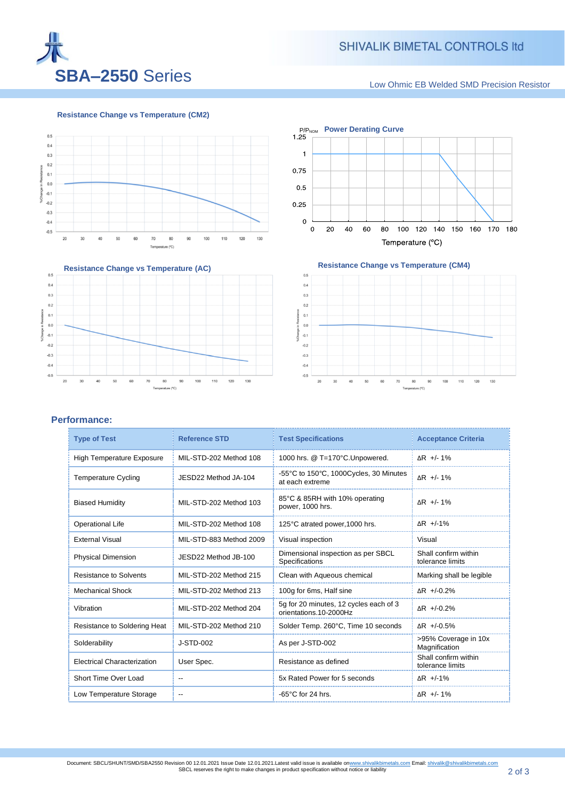

Low Ohmic EB Welded SMD Precision Resistor

**Resistance Change vs Temperature (CM2)**









### **Performance:**

| <b>Type of Test</b>                | <b>Reference STD</b>     | <b>Test Specifications</b>                                       |                                          |  |
|------------------------------------|--------------------------|------------------------------------------------------------------|------------------------------------------|--|
| <b>High Temperature Exposure</b>   | MIL-STD-202 Method 108   | 1000 hrs. @ T=170°C.Unpowered.                                   | $\Delta$ R +/- 1%                        |  |
| <b>Temperature Cycling</b>         | JESD22 Method JA-104     | -55°C to 150°C, 1000Cycles, 30 Minutes<br>at each extreme        | ΔR +/-1%                                 |  |
| <b>Biased Humidity</b>             | MIL-STD-202 Method 103   | 85°C & 85RH with 10% operating<br>power, 1000 hrs.               | ΔR +/-1%                                 |  |
| <b>Operational Life</b>            | MIL-STD-202 Method 108   | 125°C atrated power, 1000 hrs.                                   | $\Delta$ R +/-1%                         |  |
| <b>External Visual</b>             | MIL-STD-883 Method 2009  | Visual inspection                                                | Visual                                   |  |
| <b>Physical Dimension</b>          | JESD22 Method JB-100     | Dimensional inspection as per SBCL<br>Specifications             | Shall confirm within<br>tolerance limits |  |
| <b>Resistance to Solvents</b>      | MIL-STD-202 Method 215   | Clean with Aqueous chemical                                      | Marking shall be legible                 |  |
| <b>Mechanical Shock</b>            | MIL-STD-202 Method 213   | 100g for 6ms, Half sine                                          | $\Delta$ R +/-0.2%                       |  |
| Vibration                          | MIL-STD-202 Method 204   | 5g for 20 minutes, 12 cycles each of 3<br>orientations.10-2000Hz | $\Delta$ R +/-0.2%                       |  |
| Resistance to Soldering Heat       | MIL-STD-202 Method 210   | Solder Temp. 260°C, Time 10 seconds                              | ΔR +/-0.5%                               |  |
| Solderability                      | J-STD-002                | As per J-STD-002                                                 | >95% Coverage in 10x<br>Magnification    |  |
| <b>Electrical Characterization</b> | User Spec.               | Resistance as defined                                            | Shall confirm within<br>tolerance limits |  |
| Short Time Over Load               | $\qquad \qquad -$        | 5x Rated Power for 5 seconds                                     | $\Delta$ R +/-1%                         |  |
| Low Temperature Storage            | $\overline{\phantom{a}}$ | $-65^{\circ}$ C for 24 hrs.                                      | $\Delta$ R +/- 1%                        |  |